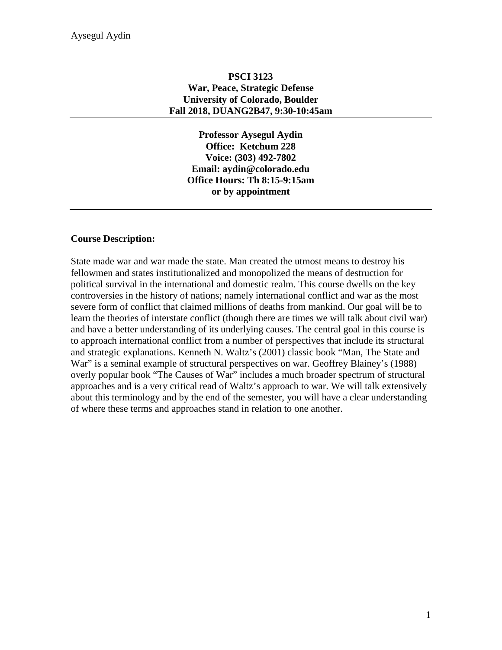### **PSCI 3123 War, Peace, Strategic Defense University of Colorado, Boulder Fall 2018, DUANG2B47, 9:30-10:45am**

**Professor Aysegul Aydin Office: Ketchum 228 Voice: (303) 492-7802 Email: aydin@colorado.edu Office Hours: Th 8:15-9:15am or by appointment**

### **Course Description:**

State made war and war made the state. Man created the utmost means to destroy his fellowmen and states institutionalized and monopolized the means of destruction for political survival in the international and domestic realm. This course dwells on the key controversies in the history of nations; namely international conflict and war as the most severe form of conflict that claimed millions of deaths from mankind. Our goal will be to learn the theories of interstate conflict (though there are times we will talk about civil war) and have a better understanding of its underlying causes. The central goal in this course is to approach international conflict from a number of perspectives that include its structural and strategic explanations. Kenneth N. Waltz's (2001) classic book "Man, The State and War" is a seminal example of structural perspectives on war. Geoffrey Blainey's (1988) overly popular book "The Causes of War" includes a much broader spectrum of structural approaches and is a very critical read of Waltz's approach to war. We will talk extensively about this terminology and by the end of the semester, you will have a clear understanding of where these terms and approaches stand in relation to one another.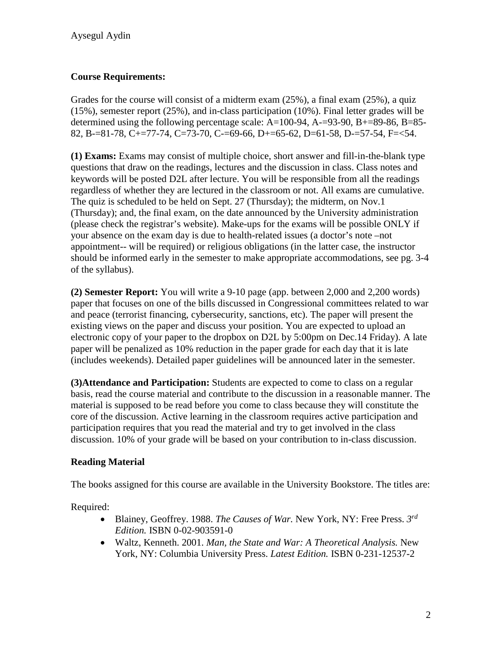# **Course Requirements:**

Grades for the course will consist of a midterm exam (25%), a final exam (25%), a quiz (15%), semester report (25%), and in-class participation (10%). Final letter grades will be determined using the following percentage scale: A=100-94, A-=93-90, B+=89-86, B=85- 82, B-=81-78, C+=77-74, C=73-70, C-=69-66, D+=65-62, D=61-58, D-=57-54, F=<54.

**(1) Exams:** Exams may consist of multiple choice, short answer and fill-in-the-blank type questions that draw on the readings, lectures and the discussion in class. Class notes and keywords will be posted D2L after lecture. You will be responsible from all the readings regardless of whether they are lectured in the classroom or not. All exams are cumulative. The quiz is scheduled to be held on Sept. 27 (Thursday); the midterm, on Nov.1 (Thursday); and, the final exam, on the date announced by the University administration (please check the registrar's website). Make-ups for the exams will be possible ONLY if your absence on the exam day is due to health-related issues (a doctor's note –not appointment-- will be required) or religious obligations (in the latter case, the instructor should be informed early in the semester to make appropriate accommodations, see pg. 3-4 of the syllabus).

**(2) Semester Report:** You will write a 9-10 page (app. between 2,000 and 2,200 words) paper that focuses on one of the bills discussed in Congressional committees related to war and peace (terrorist financing, cybersecurity, sanctions, etc). The paper will present the existing views on the paper and discuss your position. You are expected to upload an electronic copy of your paper to the dropbox on D2L by 5:00pm on Dec.14 Friday). A late paper will be penalized as 10% reduction in the paper grade for each day that it is late (includes weekends). Detailed paper guidelines will be announced later in the semester.

**(3)Attendance and Participation:** Students are expected to come to class on a regular basis, read the course material and contribute to the discussion in a reasonable manner. The material is supposed to be read before you come to class because they will constitute the core of the discussion. Active learning in the classroom requires active participation and participation requires that you read the material and try to get involved in the class discussion. 10% of your grade will be based on your contribution to in-class discussion.

# **Reading Material**

The books assigned for this course are available in the University Bookstore. The titles are:

Required:

- Blainey, Geoffrey. 1988. *The Causes of War.* New York, NY: Free Press. *3rd Edition.* ISBN 0-02-903591-0
- Waltz, Kenneth. 2001. *Man, the State and War: A Theoretical Analysis.* New York, NY: Columbia University Press. *Latest Edition.* ISBN 0-231-12537-2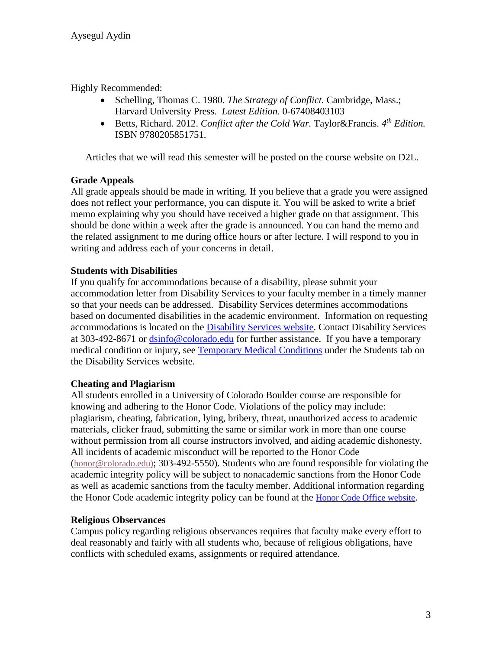Highly Recommended:

- Schelling, Thomas C. 1980. *The Strategy of Conflict.* Cambridge, Mass.; Harvard University Press. *Latest Edition.* 0-67408403103
- Betts, Richard. 2012. *Conflict after the Cold War*. Taylor&Francis. 4<sup>th</sup> Edition. ISBN 9780205851751.

Articles that we will read this semester will be posted on the course website on D2L.

## **Grade Appeals**

All grade appeals should be made in writing. If you believe that a grade you were assigned does not reflect your performance, you can dispute it. You will be asked to write a brief memo explaining why you should have received a higher grade on that assignment. This should be done within a week after the grade is announced. You can hand the memo and the related assignment to me during office hours or after lecture. I will respond to you in writing and address each of your concerns in detail.

## **Students with Disabilities**

If you qualify for accommodations because of a disability, please submit your accommodation letter from Disability Services to your faculty member in a timely manner so that your needs can be addressed. Disability Services determines accommodations based on documented disabilities in the academic environment. Information on requesting accommodations is located on the [Disability Services website.](http://www.colorado.edu/disabilityservices/students) Contact Disability Services at 303-492-8671 or [dsinfo@colorado.edu](mailto:dsinfo@colorado.edu) for further assistance. If you have a temporary medical condition or injury, see [Temporary Medical Conditions](http://www.colorado.edu/disabilityservices/students/temporary-medical-conditions) under the Students tab on the Disability Services website.

# **Cheating and Plagiarism**

All students enrolled in a University of Colorado Boulder course are responsible for knowing and adhering to the Honor Code. Violations of the policy may include: plagiarism, cheating, fabrication, lying, bribery, threat, unauthorized access to academic materials, clicker fraud, submitting the same or similar work in more than one course without permission from all course instructors involved, and aiding academic dishonesty. All incidents of academic misconduct will be reported to the Honor Code [\(honor@colorado.edu\)](mailto:honor@colorado.edu); 303-492-5550). Students who are found responsible for violating the academic integrity policy will be subject to nonacademic sanctions from the Honor Code as well as academic sanctions from the faculty member. Additional information regarding the Honor Code academic integrity policy can be found at the [Honor Code Office website.](https://www.colorado.edu/osccr/honor-code)

### **Religious Observances**

Campus policy regarding religious observances requires that faculty make every effort to deal reasonably and fairly with all students who, because of religious obligations, have conflicts with scheduled exams, assignments or required attendance.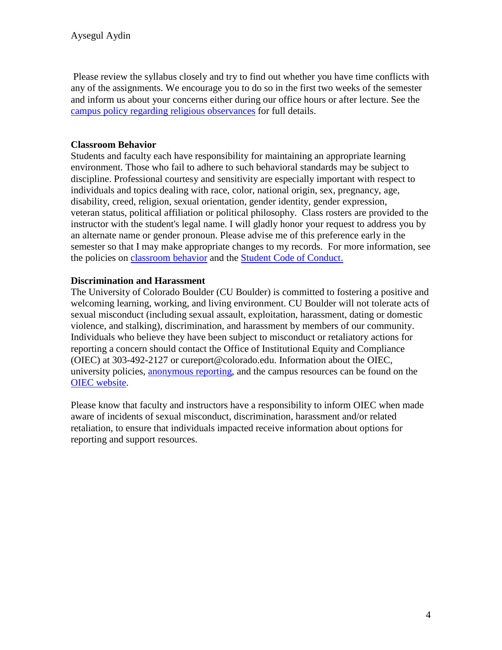Please review the syllabus closely and try to find out whether you have time conflicts with any of the assignments. We encourage you to do so in the first two weeks of the semester and inform us about your concerns either during our office hours or after lecture. See the [campus policy regarding religious observances](http://www.colorado.edu/policies/observance-religious-holidays-and-absences-classes-andor-exams) for full details.

## **Classroom Behavior**

Students and faculty each have responsibility for maintaining an appropriate learning environment. Those who fail to adhere to such behavioral standards may be subject to discipline. Professional courtesy and sensitivity are especially important with respect to individuals and topics dealing with race, color, national origin, sex, pregnancy, age, disability, creed, religion, sexual orientation, gender identity, gender expression, veteran status, political affiliation or political philosophy. Class rosters are provided to the instructor with the student's legal name. I will gladly honor your request to address you by an alternate name or gender pronoun. Please advise me of this preference early in the semester so that I may make appropriate changes to my records. For more information, see the policies on [classroom](http://www.colorado.edu/policies/student-classroom-and-course-related-behavior) behavior and the [Student Code of Conduct.](http://www.colorado.edu/osccr/)

## **Discrimination and Harassment**

The University of Colorado Boulder (CU Boulder) is committed to fostering a positive and welcoming learning, working, and living environment. CU Boulder will not tolerate acts of sexual misconduct (including sexual assault, exploitation, harassment, dating or domestic violence, and stalking), discrimination, and harassment by members of our community. Individuals who believe they have been subject to misconduct or retaliatory actions for reporting a concern should contact the Office of Institutional Equity and Compliance (OIEC) at 303-492-2127 or cureport@colorado.edu. Information about the OIEC, university policies, [anonymous reporting,](https://cuboulder.qualtrics.com/jfe/form/SV_0PnqVK4kkIJIZnf) and the campus resources can be found on the [OIEC website.](http://www.colorado.edu/institutionalequity/)

Please know that faculty and instructors have a responsibility to inform OIEC when made aware of incidents of sexual misconduct, discrimination, harassment and/or related retaliation, to ensure that individuals impacted receive information about options for reporting and support resources.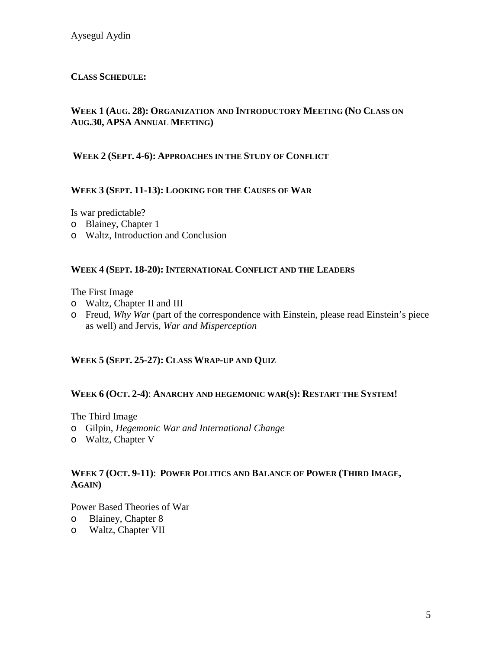## **CLASS SCHEDULE:**

## **WEEK 1 (AUG. 28): ORGANIZATION AND INTRODUCTORY MEETING (NO CLASS ON AUG.30, APSA ANNUAL MEETING)**

#### **WEEK 2 (SEPT. 4-6): APPROACHES IN THE STUDY OF CONFLICT**

### **WEEK 3 (SEPT. 11-13): LOOKING FOR THE CAUSES OF WAR**

Is war predictable?

- o Blainey, Chapter 1
- o Waltz, Introduction and Conclusion

#### **WEEK 4 (SEPT. 18-20): INTERNATIONAL CONFLICT AND THE LEADERS**

The First Image

- o Waltz, Chapter II and III
- o Freud, *Why War* (part of the correspondence with Einstein, please read Einstein's piece as well) and Jervis, *War and Misperception*

### **WEEK 5 (SEPT. 25-27): CLASS WRAP-UP AND QUIZ**

#### **WEEK 6 (OCT. 2-4)**: **ANARCHY AND HEGEMONIC WAR(S): RESTART THE SYSTEM!**

The Third Image

- o Gilpin, *Hegemonic War and International Change*
- o Waltz, Chapter V

#### **WEEK 7 (OCT. 9-11)**: **POWER POLITICS AND BALANCE OF POWER (THIRD IMAGE, AGAIN)**

Power Based Theories of War

- 
- o Blainey, Chapter 8 Waltz, Chapter VII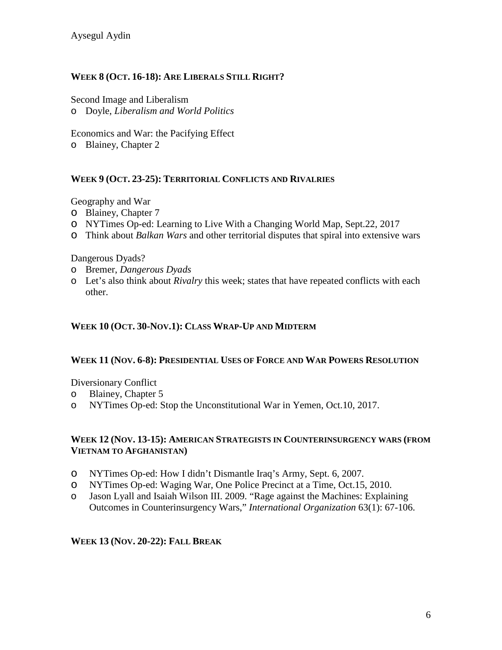## **WEEK 8 (OCT. 16-18): ARE LIBERALS STILL RIGHT?**

Second Image and Liberalism o Doyle, *Liberalism and World Politics*

Economics and War: the Pacifying Effect o Blainey, Chapter 2

### **WEEK 9 (OCT. 23-25): TERRITORIAL CONFLICTS AND RIVALRIES**

Geography and War

- o Blainey, Chapter 7
- o NYTimes Op-ed: Learning to Live With a Changing World Map, Sept.22, 2017
- o Think about *Balkan Wars* and other territorial disputes that spiral into extensive wars

Dangerous Dyads?

- o Bremer, *Dangerous Dyads*
- o Let's also think about *Rivalry* this week; states that have repeated conflicts with each other.

#### **WEEK 10 (OCT. 30-NOV.1): CLASS WRAP-UP AND MIDTERM**

#### **WEEK 11 (NOV. 6-8): PRESIDENTIAL USES OF FORCE AND WAR POWERS RESOLUTION**

Diversionary Conflict

- o Blainey, Chapter 5
- o NYTimes Op-ed: Stop the Unconstitutional War in Yemen, Oct.10, 2017.

#### **WEEK 12 (NOV. 13-15): AMERICAN STRATEGISTS IN COUNTERINSURGENCY WARS (FROM VIETNAM TO AFGHANISTAN)**

- o NYTimes Op-ed: How I didn't Dismantle Iraq's Army, Sept. 6, 2007.
- o NYTimes Op-ed: Waging War, One Police Precinct at a Time, Oct.15, 2010.<br>
o Jason Lyall and Isaiah Wilson III. 2009. "Rage against the Machines: Explain
- Jason Lyall and Isaiah Wilson III. 2009. "Rage against the Machines: Explaining Outcomes in Counterinsurgency Wars," *International Organization* 63(1): 67-106.

#### **WEEK 13 (NOV. 20-22): FALL BREAK**